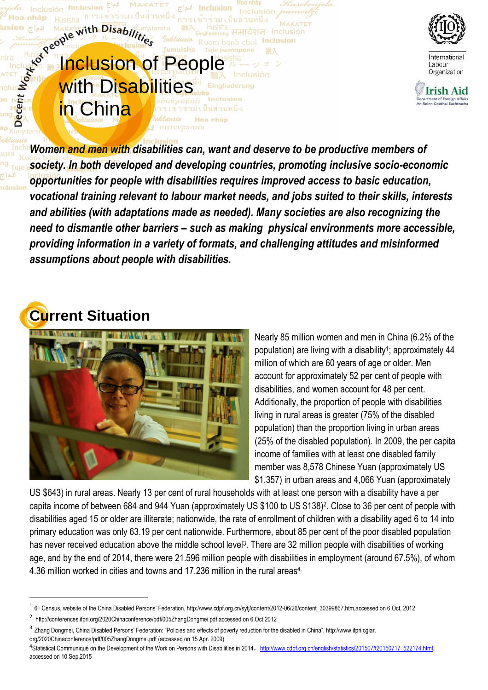

International Labour Organization



*Women and men with disabilities can, want and deserve to be productive members of society. In both developed and developing countries, promoting inclusive socio-economic opportunities for people with disabilities requires improved access to basic education, vocational training relevant to labour market needs, and jobs suited to their skills, interests and abilities (with adaptations made as needed). Many societies are also recognizing the need to dismantle other barriers – such as making physical environments more accessible, providing information in a variety of formats, and challenging attitudes and misinformed assumptions about people with disabilities.* 

### **Current Situation**

l



**Inclusion of People** 

with Disabilities

inely to the With Disabilities

Nearly 85 million women and men in China (6.2% of the population) are living with a disability<sup>1</sup>; approximately 44 million of which are 60 years of age or older. Men account for approximately 52 per cent of people with disabilities, and women account for 48 per cent. Additionally, the proportion of people with disabilities living in rural areas is greater (75% of the disabled population) than the proportion living in urban areas (25% of the disabled population). In 2009, the per capita income of families with at least one disabled family member was 8,578 Chinese Yuan (approximately US \$1,357) in urban areas and 4,066 Yuan (approximately

US \$643) in rural areas. Nearly 13 per cent of rural households with at least one person with a disability have a per capita income of between 684 and 944 Yuan (approximately US \$100 to US \$138)<sup>2</sup> . Close to 36 per cent of people with disabilities aged 15 or older are illiterate; nationwide, the rate of enrollment of children with a disability aged 6 to 14 into primary education was only 63.19 per cent nationwide. Furthermore, about 85 per cent of the poor disabled population has never received education above the middle school level<sup>3</sup>. There are 32 million people with disabilities of working age, and by the end of 2014, there were 21.596 million people with disabilities in employment (around 67.5%), of whom 4.36 million worked in cities and towns and 17.236 million in the rural areas4.

<sup>&</sup>lt;sup>1</sup> 6<sup>th</sup> Census, website of the China Disabled Persons' Federation, http://www.cdpf.org.cn/sytj/content/2012-06/26/content\_30399867.htm,accessed on 6 Oct, 2012

<sup>&</sup>lt;sup>2</sup> http://conferences.ifpri.org/2020Chinaconference/pdf/005ZhangDongmei.pdf,accessed on 6.Oct,2012

<sup>&</sup>lt;sup>3</sup> Zhang Dongmei, China Disabled Persons' Federation: "Policies and effects of poverty reduction for the disabled in China", http://www.ifpri.cgiar. org/2020Chinaconference/pdf/005ZhangDongmei.pdf (accessed on 15 Apr. 2009).

<sup>4&</sup>lt;br>Statistical Communiqué on the Development of the Work on Persons with Disabilities in 2014, http://www.cdpf.org.cn/english/statistics/201507/t20150717\_522174.html, accessed on 10.Sep,2015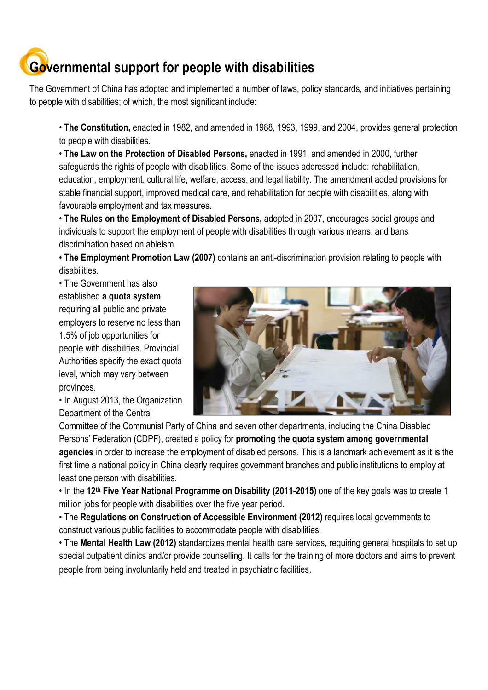# **Governmental support for people with disabilities**

The Government of China has adopted and implemented a number of laws, policy standards, and initiatives pertaining to people with disabilities; of which, the most significant include:

• **The Constitution,** enacted in 1982, and amended in 1988, 1993, 1999, and 2004, provides general protection to people with disabilities.

• **The Law on the Protection of Disabled Persons,** enacted in 1991, and amended in 2000, further safeguards the rights of people with disabilities. Some of the issues addressed include: rehabilitation, education, employment, cultural life, welfare, access, and legal liability. The amendment added provisions for stable financial support, improved medical care, and rehabilitation for people with disabilities, along with favourable employment and tax measures.

• **The Rules on the Employment of Disabled Persons,** adopted in 2007, encourages social groups and individuals to support the employment of people with disabilities through various means, and bans discrimination based on ableism.

• **The Employment Promotion Law (2007)** contains an anti-discrimination provision relating to people with disabilities.

• The Government has also established **a quota system** requiring all public and private employers to reserve no less than 1.5% of job opportunities for people with disabilities. Provincial Authorities specify the exact quota level, which may vary between provinces.

• In August 2013, the Organization Department of the Central



Committee of the Communist Party of China and seven other departments, including the China Disabled Persons' Federation (CDPF), created a policy for **promoting the quota system among governmental agencies** in order to increase the employment of disabled persons. This is a landmark achievement as it is the first time a national policy in China clearly requires government branches and public institutions to employ at least one person with disabilities.

• In the **12th Five Year National Programme on Disability (2011-2015)** one of the key goals was to create 1 million jobs for people with disabilities over the five year period.

• The **Regulations on Construction of Accessible Environment (2012)** requires local governments to construct various public facilities to accommodate people with disabilities.

• The **Mental Health Law (2012)** standardizes mental health care services, requiring general hospitals to set up special outpatient clinics and/or provide counselling. It calls for the training of more doctors and aims to prevent people from being involuntarily held and treated in psychiatric facilities.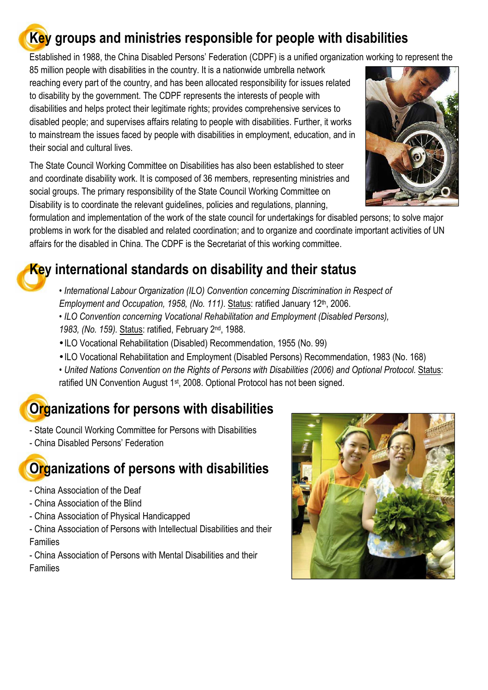#### **Key groups and ministries responsible for people with disabilities**

Established in 1988, the China Disabled Persons' Federation (CDPF) is a unified organization working to represent the

85 million people with disabilities in the country. It is a nationwide umbrella network reaching every part of the country, and has been allocated responsibility for issues related to disability by the government. The CDPF represents the interests of people with disabilities and helps protect their legitimate rights; provides comprehensive services to disabled people; and supervises affairs relating to people with disabilities. Further, it works to mainstream the issues faced by people with disabilities in employment, education, and in their social and cultural lives.

The State Council Working Committee on Disabilities has also been established to steer and coordinate disability work. It is composed of 36 members, representing ministries and social groups. The primary responsibility of the State Council Working Committee on Disability is to coordinate the relevant guidelines, policies and regulations, planning,

formulation and implementation of the work of the state council for undertakings for disabled persons; to solve major problems in work for the disabled and related coordination; and to organize and coordinate important activities of UN affairs for the disabled in China. The CDPF is the Secretariat of this working committee.

#### **Key international standards on disability and their status**

• *International Labour Organization (ILO) Convention concerning Discrimination in Respect of Employment and Occupation, 1958, (No. 111).* Status: ratified January 12<sup>th</sup>, 2006.

• *ILO Convention concerning Vocational Rehabilitation and Employment (Disabled Persons),* 

- *1983, (No. 159).* Status: ratified, February 2nd, 1988.
- ILO Vocational Rehabilitation (Disabled) Recommendation, 1955 (No. 99)
- ILO Vocational Rehabilitation and Employment (Disabled Persons) Recommendation, 1983 (No. 168)

• *United Nations Convention on the Rights of Persons with Disabilities (2006) and Optional Protocol.* Status: ratified UN Convention August 1<sup>st</sup>, 2008. Optional Protocol has not been signed.

## **Organizations for persons with disabilities**

- State Council Working Committee for Persons with Disabilities - China Disabled Persons' Federation

## **Organizations of persons with disabilities**

- China Association of the Deaf
- China Association of the Blind
- China Association of Physical Handicapped

- China Association of Persons with Intellectual Disabilities and their Families

- China Association of Persons with Mental Disabilities and their Families



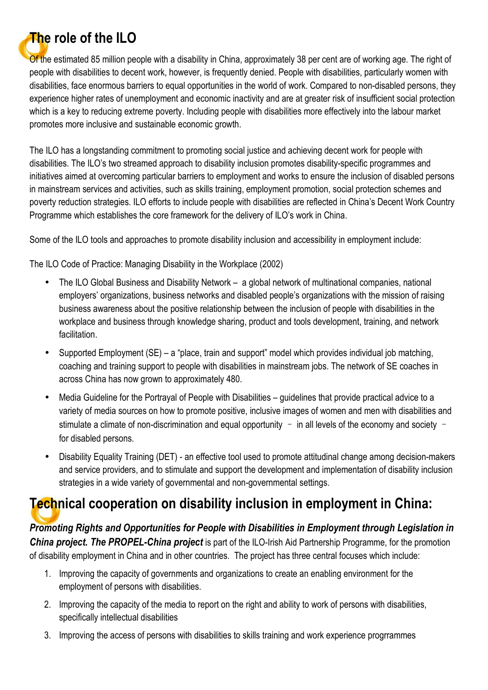#### **The role of the ILO**

Of the estimated 85 million people with a disability in China, approximately 38 per cent are of working age. The right of people with disabilities to decent work, however, is frequently denied. People with disabilities, particularly women with disabilities, face enormous barriers to equal opportunities in the world of work. Compared to non-disabled persons, they experience higher rates of unemployment and economic inactivity and are at greater risk of insufficient social protection which is a key to reducing extreme poverty. Including people with disabilities more effectively into the labour market promotes more inclusive and sustainable economic growth.

The ILO has a longstanding commitment to promoting social justice and achieving decent work for people with disabilities. The ILO's two streamed approach to disability inclusion promotes disability-specific programmes and initiatives aimed at overcoming particular barriers to employment and works to ensure the inclusion of disabled persons in mainstream services and activities, such as skills training, employment promotion, social protection schemes and poverty reduction strategies. ILO efforts to include people with disabilities are reflected in China's Decent Work Country Programme which establishes the core framework for the delivery of ILO's work in China.

Some of the ILO tools and approaches to promote disability inclusion and accessibility in employment include:

The ILO Code of Practice: Managing Disability in the Workplace (2002)

- The ILO Global Business and Disability Network a global network of multinational companies, national employers' organizations, business networks and disabled people's organizations with the mission of raising business awareness about the positive relationship between the inclusion of people with disabilities in the workplace and business through knowledge sharing, product and tools development, training, and network facilitation.
- Supported Employment (SE) a "place, train and support" model which provides individual job matching, coaching and training support to people with disabilities in mainstream jobs. The network of SE coaches in across China has now grown to approximately 480.
- Media Guideline for the Portrayal of People with Disabilities guidelines that provide practical advice to a variety of media sources on how to promote positive, inclusive images of women and men with disabilities and stimulate a climate of non-discrimination and equal opportunity – in all levels of the economy and society – for disabled persons.
- Disability Equality Training (DET) an effective tool used to promote attitudinal change among decision-makers and service providers, and to stimulate and support the development and implementation of disability inclusion strategies in a wide variety of governmental and non-governmental settings.

#### **Technical cooperation on disability inclusion in employment in China:**

*Promoting Rights and Opportunities for People with Disabilities in Employment through Legislation in China project. The PROPEL-China project* is part of the ILO-Irish Aid Partnership Programme, for the promotion of disability employment in China and in other countries. The project has three central focuses which include:

- 1. Improving the capacity of governments and organizations to create an enabling environment for the employment of persons with disabilities.
- 2. Improving the capacity of the media to report on the right and ability to work of persons with disabilities, specifically intellectual disabilities
- 3. Improving the access of persons with disabilities to skills training and work experience progrrammes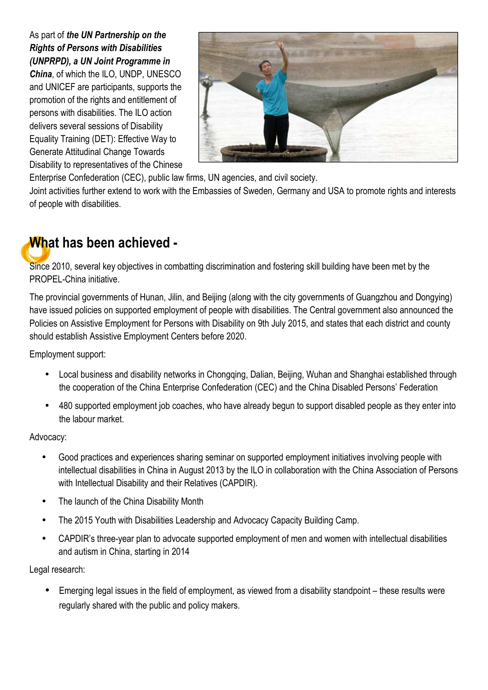As part of *the UN Partnership on the Rights of Persons with Disabilities (UNPRPD), a UN Joint Programme in China*, of which the ILO, UNDP, UNESCO and UNICEF are participants, supports the promotion of the rights and entitlement of persons with disabilities. The ILO action delivers several sessions of Disability Equality Training (DET): Effective Way to Generate Attitudinal Change Towards Disability to representatives of the Chinese



Enterprise Confederation (CEC), public law firms, UN agencies, and civil society.

Joint activities further extend to work with the Embassies of Sweden, Germany and USA to promote rights and interests of people with disabilities.

#### **What has been achieved -**

Since 2010, several key objectives in combatting discrimination and fostering skill building have been met by the PROPEL-China initiative.

The provincial governments of Hunan, Jilin, and Beijing (along with the city governments of Guangzhou and Dongying) have issued policies on supported employment of people with disabilities. The Central government also announced the Policies on Assistive Employment for Persons with Disability on 9th July 2015, and states that each district and county should establish Assistive Employment Centers before 2020.

Employment support:

- Local business and disability networks in Chongqing, Dalian, Beijing, Wuhan and Shanghai established through the cooperation of the China Enterprise Confederation (CEC) and the China Disabled Persons' Federation
- 480 supported employment job coaches, who have already begun to support disabled people as they enter into the labour market.

Advocacy:

- Good practices and experiences sharing seminar on supported employment initiatives involving people with intellectual disabilities in China in August 2013 by the ILO in collaboration with the China Association of Persons with Intellectual Disability and their Relatives (CAPDIR).
- The launch of the China Disability Month
- The 2015 Youth with Disabilities Leadership and Advocacy Capacity Building Camp.
- CAPDIR's three-year plan to advocate supported employment of men and women with intellectual disabilities and autism in China, starting in 2014

Legal research:

• Emerging legal issues in the field of employment, as viewed from a disability standpoint – these results were regularly shared with the public and policy makers.